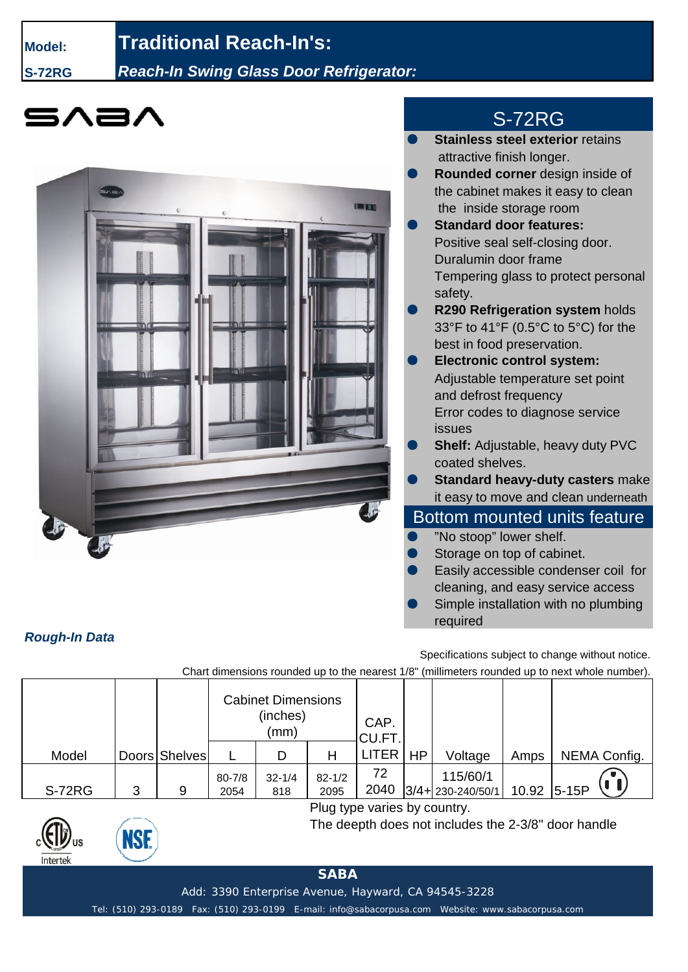### **Model: Traditional Reach-In's:**

**S-72RG** *Reach-In Swing Glass Door Refrigerator:*





# S-72RG

- **Stainless steel exterior retains** attractive finish longer.
- **Rounded corner** design inside of the cabinet makes it easy to clean the inside storage room
- **Standard door features:** Positive seal self-closing door. Duralumin door frame Tempering glass to protect personal safety.
- **R290 Refrigeration system holds** 33°F to 41°F (0.5°C to 5°C) for the best in food preservation.
- **Electronic control system:** Adjustable temperature set point and defrost frequency Error codes to diagnose service issues
- **Shelf:** Adjustable, heavy duty PVC coated shelves.
- **Standard heavy-duty casters make** it easy to move and clean underneath

## Bottom mounted units feature

- "No stoop" lower shelf.
- Storage on top of cabinet.
- Easily accessible condenser coil for cleaning, and easy service access
- Simple installation with no plumbing required

Specifications subject to change without notice.

Chart dimensions rounded up to the nearest 1/8" (millimeters rounded up to next whole number).

|        |   |               | <b>Cabinet Dimensions</b><br>(inches)<br>(mm) |                   |                    | CAP.<br>CU.FT. |           |                                    |       |              |
|--------|---|---------------|-----------------------------------------------|-------------------|--------------------|----------------|-----------|------------------------------------|-------|--------------|
| Model  |   | Doors Shelves |                                               |                   |                    | LITER          | <b>HP</b> | Voltage                            | Amps  | NEMA Config. |
| S-72RG | 3 | 9             | $80 - 7/8$<br>2054                            | $32 - 1/4$<br>818 | $82 - 1/2$<br>2095 | 72<br>2040     |           | 115/60/1<br>$3/4 + 230 - 240/50/1$ | 10.92 | $5-15P$      |



NSF

Plug type varies by country.

The deepth does not includes the 2-3/8'' door handle

#### **SABA**

Add: 3390 Enterprise Avenue, Hayward, CA 94545-3228

Tel: (510) 293-0189 Fax: (510) 293-0199 E-mail: info@sabacorpusa.com Website: www.sabacorpusa.com

#### *Rough-In Data*